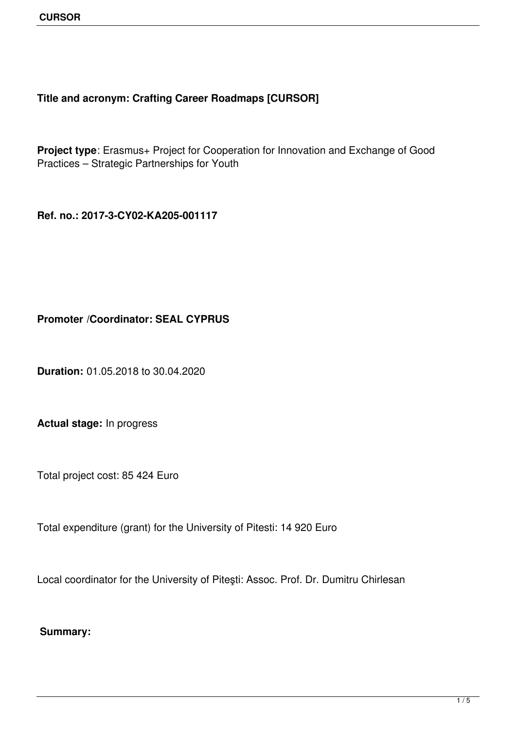## **Title and acronym: Crafting Career Roadmaps [CURSOR]**

**Project type**: Erasmus+ Project for Cooperation for Innovation and Exchange of Good Practices – Strategic Partnerships for Youth

**Ref. no.: 2017-3-CY02-KA205-001117**

**Promoter /Coordinator: SEAL CYPRUS**

**Duration:** 01.05.2018 to 30.04.2020

**Actual stage:** In progress

Total project cost: 85 424 Euro

Total expenditure (grant) for the University of Pitesti: 14 920 Euro

Local coordinator for the University of Piteşti: Assoc. Prof. Dr. Dumitru Chirlesan

**Summary:**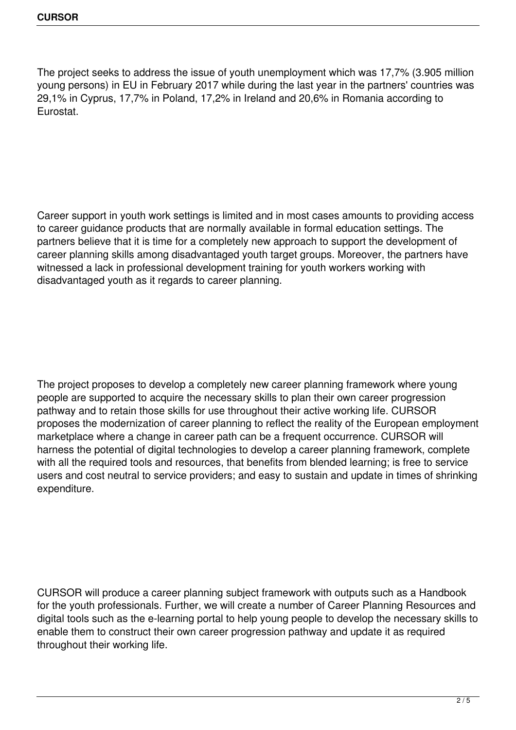The project seeks to address the issue of youth unemployment which was 17,7% (3.905 million young persons) in EU in February 2017 while during the last year in the partners' countries was 29,1% in Cyprus, 17,7% in Poland, 17,2% in Ireland and 20,6% in Romania according to Eurostat.

Career support in youth work settings is limited and in most cases amounts to providing access to career guidance products that are normally available in formal education settings. The partners believe that it is time for a completely new approach to support the development of career planning skills among disadvantaged youth target groups. Moreover, the partners have witnessed a lack in professional development training for youth workers working with disadvantaged youth as it regards to career planning.

The project proposes to develop a completely new career planning framework where young people are supported to acquire the necessary skills to plan their own career progression pathway and to retain those skills for use throughout their active working life. CURSOR proposes the modernization of career planning to reflect the reality of the European employment marketplace where a change in career path can be a frequent occurrence. CURSOR will harness the potential of digital technologies to develop a career planning framework, complete with all the required tools and resources, that benefits from blended learning; is free to service users and cost neutral to service providers; and easy to sustain and update in times of shrinking expenditure.

CURSOR will produce a career planning subject framework with outputs such as a Handbook for the youth professionals. Further, we will create a number of Career Planning Resources and digital tools such as the e-learning portal to help young people to develop the necessary skills to enable them to construct their own career progression pathway and update it as required throughout their working life.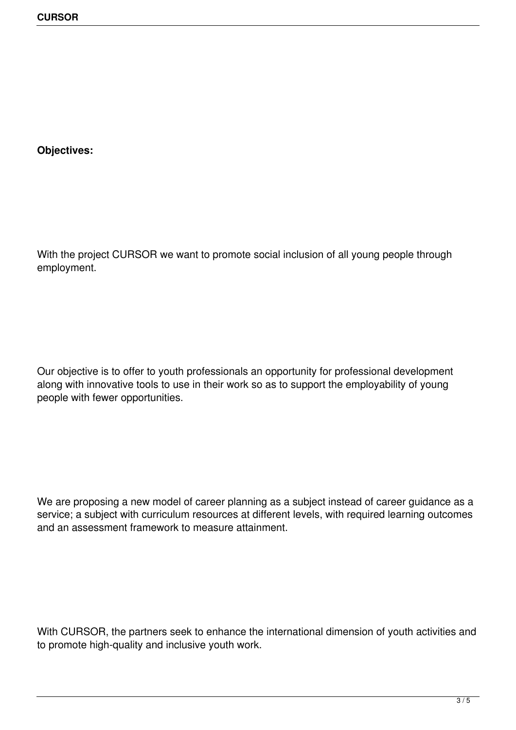**Objectives:**

With the project CURSOR we want to promote social inclusion of all young people through employment.

Our objective is to offer to youth professionals an opportunity for professional development along with innovative tools to use in their work so as to support the employability of young people with fewer opportunities.

We are proposing a new model of career planning as a subject instead of career guidance as a service; a subject with curriculum resources at different levels, with required learning outcomes and an assessment framework to measure attainment.

With CURSOR, the partners seek to enhance the international dimension of youth activities and to promote high-quality and inclusive youth work.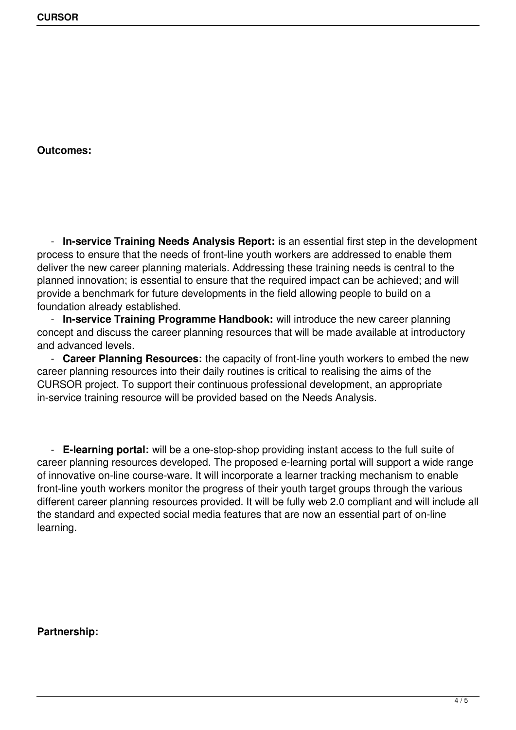**Outcomes:**

 - **In-service Training Needs Analysis Report:** is an essential first step in the development process to ensure that the needs of front-line youth workers are addressed to enable them deliver the new career planning materials. Addressing these training needs is central to the planned innovation; is essential to ensure that the required impact can be achieved; and will provide a benchmark for future developments in the field allowing people to build on a foundation already established.

 - **In-service Training Programme Handbook:** will introduce the new career planning concept and discuss the career planning resources that will be made available at introductory and advanced levels.

 - **Career Planning Resources:** the capacity of front-line youth workers to embed the new career planning resources into their daily routines is critical to realising the aims of the CURSOR project. To support their continuous professional development, an appropriate in-service training resource will be provided based on the Needs Analysis.

 - **E-learning portal:** will be a one-stop-shop providing instant access to the full suite of career planning resources developed. The proposed e-learning portal will support a wide range of innovative on-line course-ware. It will incorporate a learner tracking mechanism to enable front-line youth workers monitor the progress of their youth target groups through the various different career planning resources provided. It will be fully web 2.0 compliant and will include all the standard and expected social media features that are now an essential part of on-line learning.

**Partnership:**